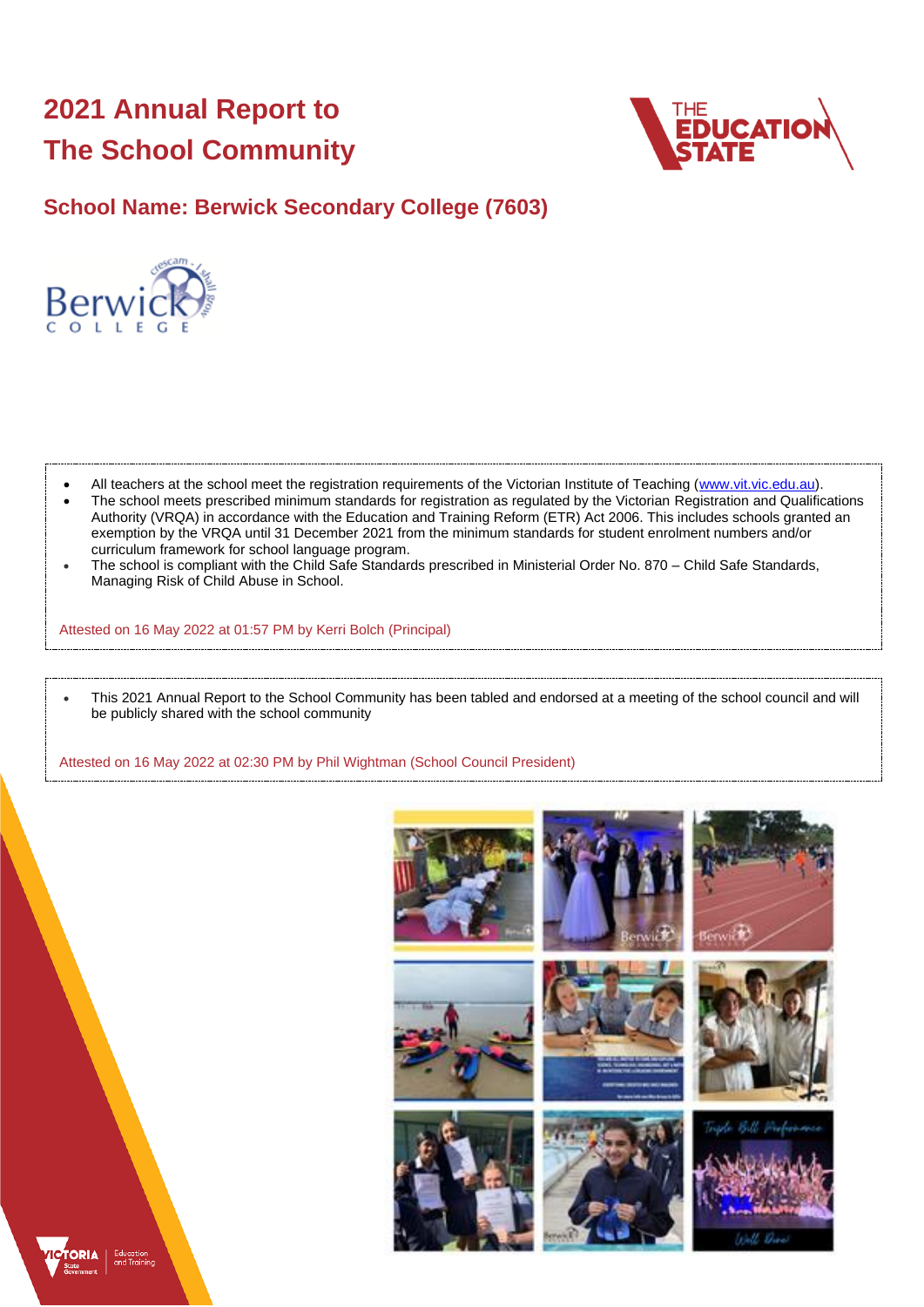# **2021 Annual Report to The School Community**



**School Name: Berwick Secondary College (7603)**



- All teachers at the school meet the registration requirements of the Victorian Institute of Teaching [\(www.vit.vic.edu.au\)](https://www.vit.vic.edu.au/).
- The school meets prescribed minimum standards for registration as regulated by the Victorian Registration and Qualifications Authority (VRQA) in accordance with the Education and Training Reform (ETR) Act 2006. This includes schools granted an exemption by the VRQA until 31 December 2021 from the minimum standards for student enrolment numbers and/or curriculum framework for school language program.
- The school is compliant with the Child Safe Standards prescribed in Ministerial Order No. 870 Child Safe Standards, Managing Risk of Child Abuse in School.

Attested on 16 May 2022 at 01:57 PM by Kerri Bolch (Principal)

• This 2021 Annual Report to the School Community has been tabled and endorsed at a meeting of the school council and will be publicly shared with the school community

Attested on 16 May 2022 at 02:30 PM by Phil Wightman (School Council President)



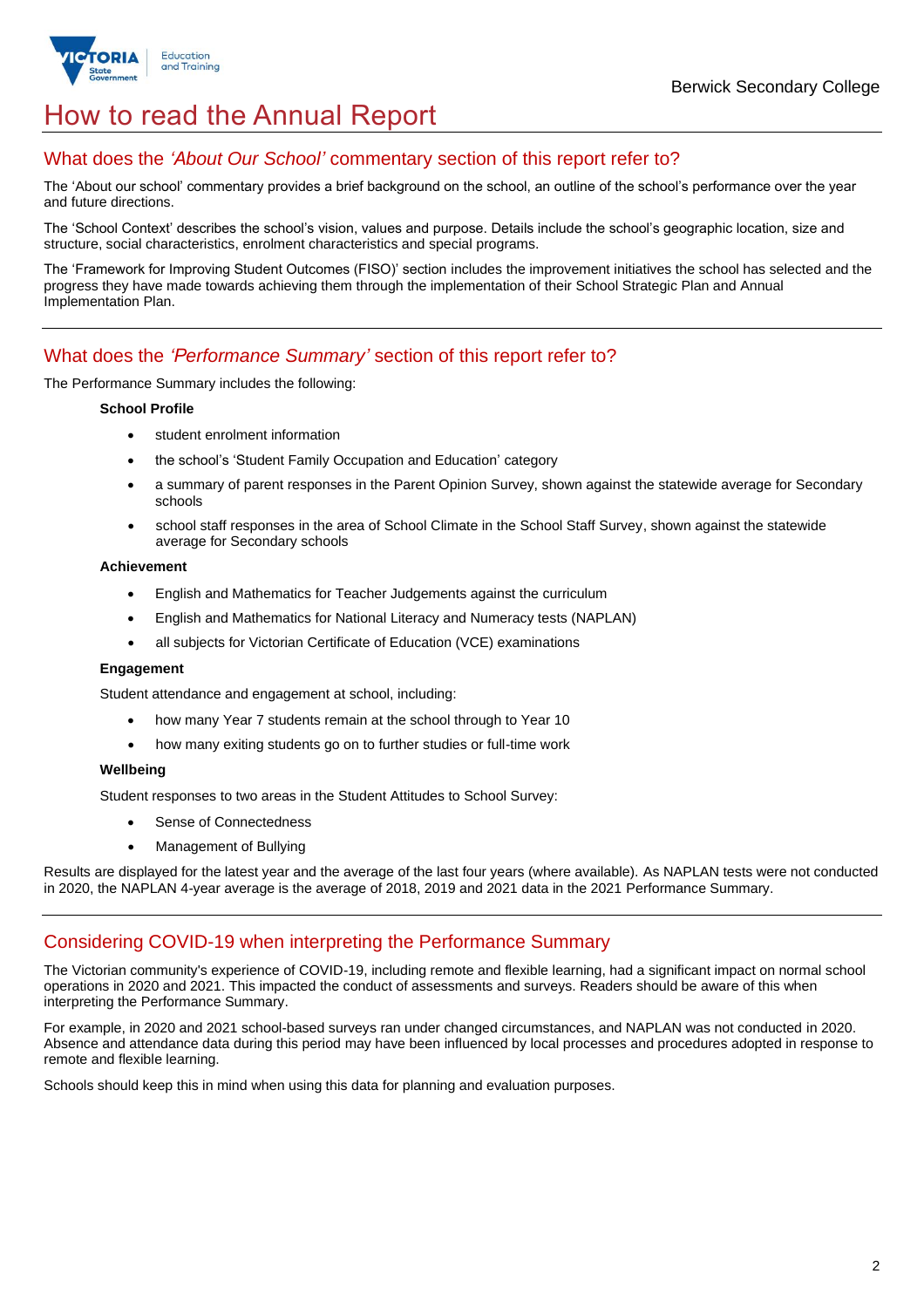

## How to read the Annual Report

### What does the *'About Our School'* commentary section of this report refer to?

The 'About our school' commentary provides a brief background on the school, an outline of the school's performance over the year and future directions.

The 'School Context' describes the school's vision, values and purpose. Details include the school's geographic location, size and structure, social characteristics, enrolment characteristics and special programs.

The 'Framework for Improving Student Outcomes (FISO)' section includes the improvement initiatives the school has selected and the progress they have made towards achieving them through the implementation of their School Strategic Plan and Annual Implementation Plan.

#### What does the *'Performance Summary'* section of this report refer to?

The Performance Summary includes the following:

#### **School Profile**

- student enrolment information
- the school's 'Student Family Occupation and Education' category
- a summary of parent responses in the Parent Opinion Survey, shown against the statewide average for Secondary schools
- school staff responses in the area of School Climate in the School Staff Survey, shown against the statewide average for Secondary schools

#### **Achievement**

- English and Mathematics for Teacher Judgements against the curriculum
- English and Mathematics for National Literacy and Numeracy tests (NAPLAN)
- all subjects for Victorian Certificate of Education (VCE) examinations

#### **Engagement**

Student attendance and engagement at school, including:

- how many Year 7 students remain at the school through to Year 10
- how many exiting students go on to further studies or full-time work

#### **Wellbeing**

Student responses to two areas in the Student Attitudes to School Survey:

- Sense of Connectedness
- Management of Bullying

Results are displayed for the latest year and the average of the last four years (where available). As NAPLAN tests were not conducted in 2020, the NAPLAN 4-year average is the average of 2018, 2019 and 2021 data in the 2021 Performance Summary.

#### Considering COVID-19 when interpreting the Performance Summary

The Victorian community's experience of COVID-19, including remote and flexible learning, had a significant impact on normal school operations in 2020 and 2021. This impacted the conduct of assessments and surveys. Readers should be aware of this when interpreting the Performance Summary.

For example, in 2020 and 2021 school-based surveys ran under changed circumstances, and NAPLAN was not conducted in 2020. Absence and attendance data during this period may have been influenced by local processes and procedures adopted in response to remote and flexible learning.

Schools should keep this in mind when using this data for planning and evaluation purposes.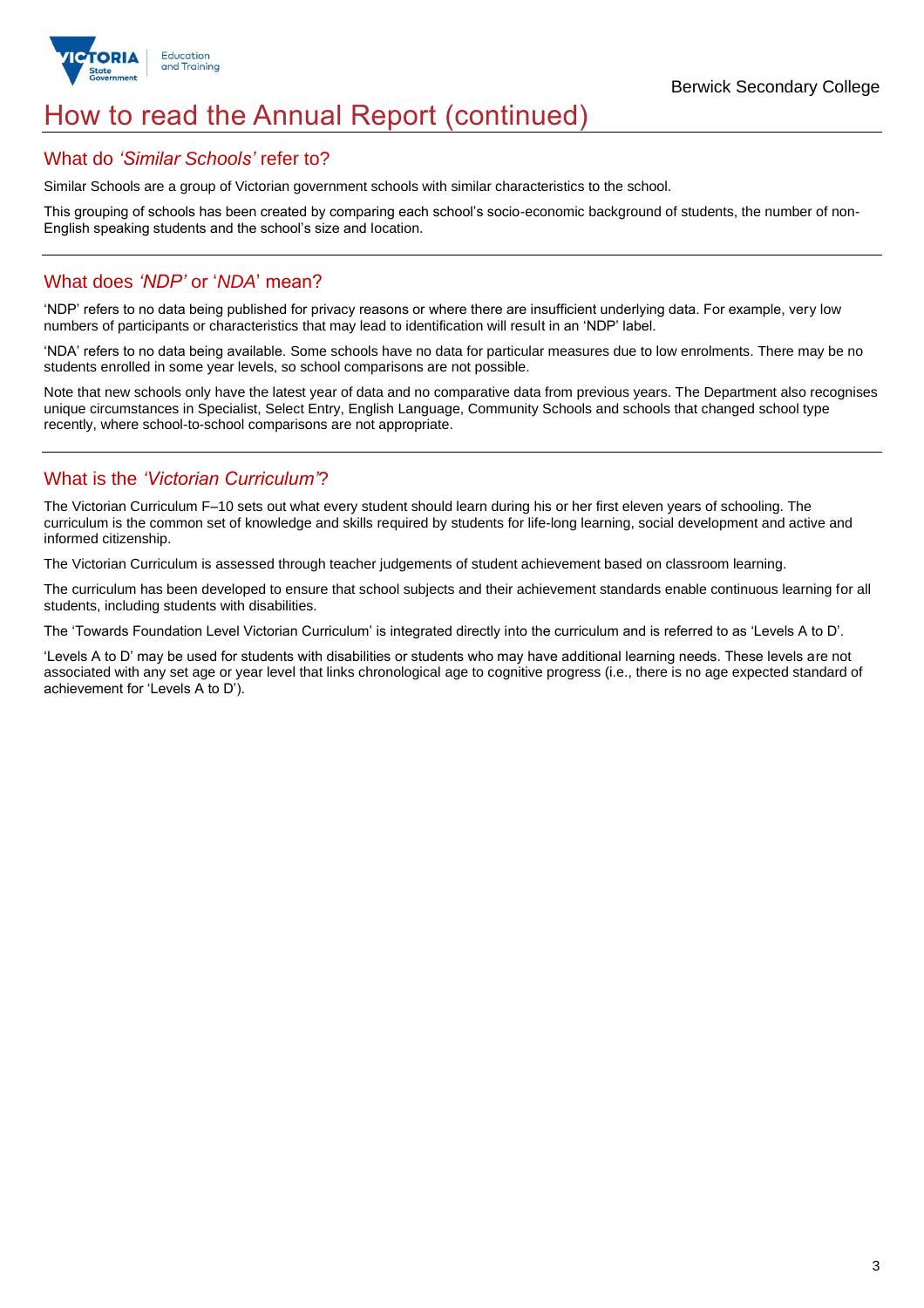

## How to read the Annual Report (continued)

#### What do *'Similar Schools'* refer to?

Similar Schools are a group of Victorian government schools with similar characteristics to the school.

This grouping of schools has been created by comparing each school's socio-economic background of students, the number of non-English speaking students and the school's size and location.

### What does *'NDP'* or '*NDA*' mean?

'NDP' refers to no data being published for privacy reasons or where there are insufficient underlying data. For example, very low numbers of participants or characteristics that may lead to identification will result in an 'NDP' label.

'NDA' refers to no data being available. Some schools have no data for particular measures due to low enrolments. There may be no students enrolled in some year levels, so school comparisons are not possible.

Note that new schools only have the latest year of data and no comparative data from previous years. The Department also recognises unique circumstances in Specialist, Select Entry, English Language, Community Schools and schools that changed school type recently, where school-to-school comparisons are not appropriate.

## What is the *'Victorian Curriculum'*?

The Victorian Curriculum F–10 sets out what every student should learn during his or her first eleven years of schooling. The curriculum is the common set of knowledge and skills required by students for life-long learning, social development and active and informed citizenship.

The Victorian Curriculum is assessed through teacher judgements of student achievement based on classroom learning.

The curriculum has been developed to ensure that school subjects and their achievement standards enable continuous learning for all students, including students with disabilities.

The 'Towards Foundation Level Victorian Curriculum' is integrated directly into the curriculum and is referred to as 'Levels A to D'.

'Levels A to D' may be used for students with disabilities or students who may have additional learning needs. These levels are not associated with any set age or year level that links chronological age to cognitive progress (i.e., there is no age expected standard of achievement for 'Levels A to D').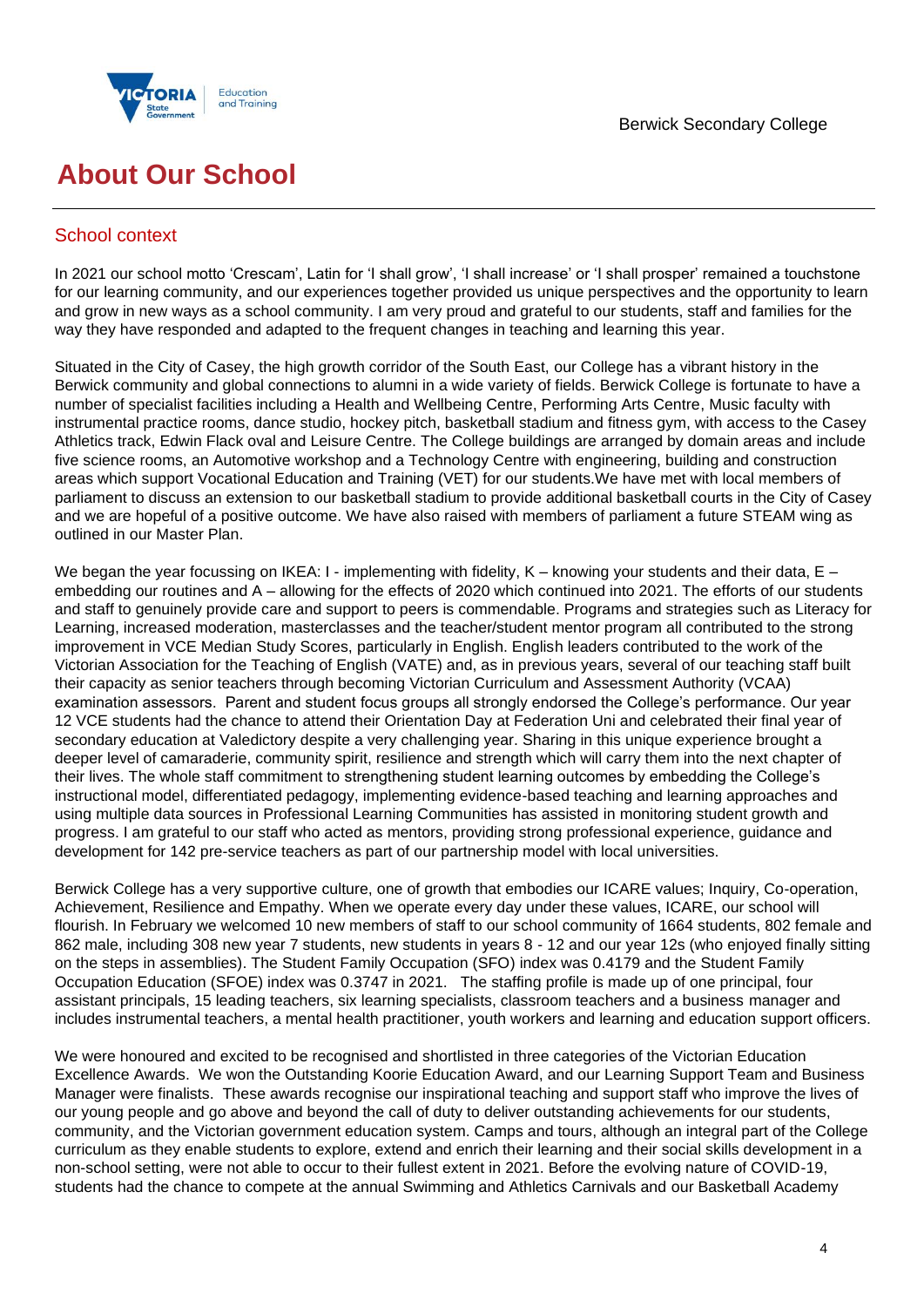



## **About Our School**

## School context

In 2021 our school motto 'Crescam', Latin for 'I shall grow', 'I shall increase' or 'I shall prosper' remained a touchstone for our learning community, and our experiences together provided us unique perspectives and the opportunity to learn and grow in new ways as a school community. I am very proud and grateful to our students, staff and families for the way they have responded and adapted to the frequent changes in teaching and learning this year.

Situated in the City of Casey, the high growth corridor of the South East, our College has a vibrant history in the Berwick community and global connections to alumni in a wide variety of fields. Berwick College is fortunate to have a number of specialist facilities including a Health and Wellbeing Centre, Performing Arts Centre, Music faculty with instrumental practice rooms, dance studio, hockey pitch, basketball stadium and fitness gym, with access to the Casey Athletics track, Edwin Flack oval and Leisure Centre. The College buildings are arranged by domain areas and include five science rooms, an Automotive workshop and a Technology Centre with engineering, building and construction areas which support Vocational Education and Training (VET) for our students.We have met with local members of parliament to discuss an extension to our basketball stadium to provide additional basketball courts in the City of Casey and we are hopeful of a positive outcome. We have also raised with members of parliament a future STEAM wing as outlined in our Master Plan.

We began the year focussing on IKEA: I - implementing with fidelity, K – knowing your students and their data, E – embedding our routines and A – allowing for the effects of 2020 which continued into 2021. The efforts of our students and staff to genuinely provide care and support to peers is commendable. Programs and strategies such as Literacy for Learning, increased moderation, masterclasses and the teacher/student mentor program all contributed to the strong improvement in VCE Median Study Scores, particularly in English. English leaders contributed to the work of the Victorian Association for the Teaching of English (VATE) and, as in previous years, several of our teaching staff built their capacity as senior teachers through becoming Victorian Curriculum and Assessment Authority (VCAA) examination assessors. Parent and student focus groups all strongly endorsed the College's performance. Our year 12 VCE students had the chance to attend their Orientation Day at Federation Uni and celebrated their final year of secondary education at Valedictory despite a very challenging year. Sharing in this unique experience brought a deeper level of camaraderie, community spirit, resilience and strength which will carry them into the next chapter of their lives. The whole staff commitment to strengthening student learning outcomes by embedding the College's instructional model, differentiated pedagogy, implementing evidence-based teaching and learning approaches and using multiple data sources in Professional Learning Communities has assisted in monitoring student growth and progress. I am grateful to our staff who acted as mentors, providing strong professional experience, guidance and development for 142 pre-service teachers as part of our partnership model with local universities.

Berwick College has a very supportive culture, one of growth that embodies our ICARE values; Inquiry, Co-operation, Achievement, Resilience and Empathy. When we operate every day under these values, ICARE, our school will flourish. In February we welcomed 10 new members of staff to our school community of 1664 students, 802 female and 862 male, including 308 new year 7 students, new students in years 8 - 12 and our year 12s (who enjoyed finally sitting on the steps in assemblies). The Student Family Occupation (SFO) index was 0.4179 and the Student Family Occupation Education (SFOE) index was 0.3747 in 2021. The staffing profile is made up of one principal, four assistant principals, 15 leading teachers, six learning specialists, classroom teachers and a business manager and includes instrumental teachers, a mental health practitioner, youth workers and learning and education support officers.

We were honoured and excited to be recognised and shortlisted in three categories of the Victorian Education Excellence Awards. We won the Outstanding Koorie Education Award, and our Learning Support Team and Business Manager were finalists. These awards recognise our inspirational teaching and support staff who improve the lives of our young people and go above and beyond the call of duty to deliver outstanding achievements for our students, community, and the Victorian government education system. Camps and tours, although an integral part of the College curriculum as they enable students to explore, extend and enrich their learning and their social skills development in a non-school setting, were not able to occur to their fullest extent in 2021. Before the evolving nature of COVID-19, students had the chance to compete at the annual Swimming and Athletics Carnivals and our Basketball Academy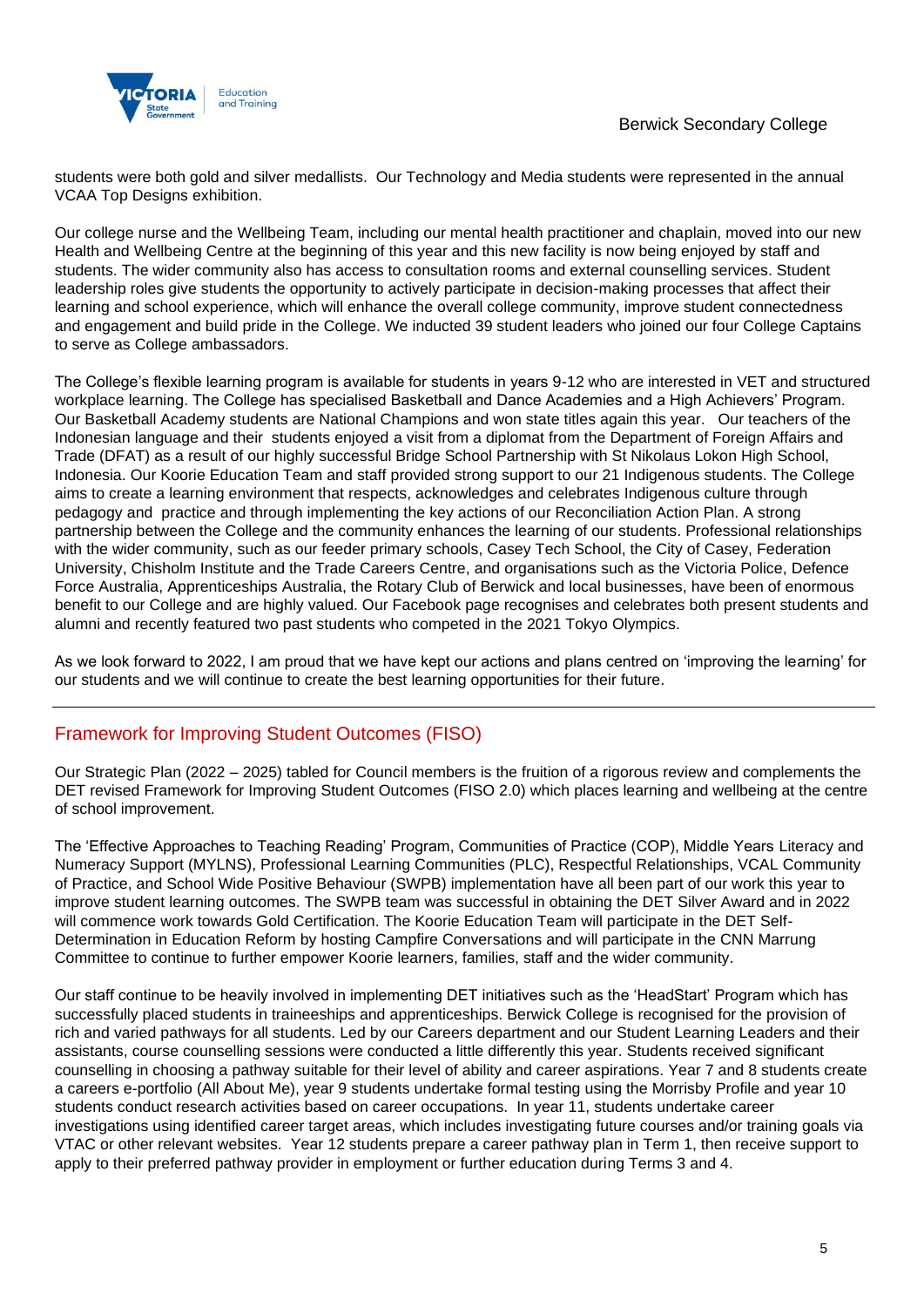

students were both gold and silver medallists. Our Technology and Media students were represented in the annual VCAA Top Designs exhibition.

Our college nurse and the Wellbeing Team, including our mental health practitioner and chaplain, moved into our new Health and Wellbeing Centre at the beginning of this year and this new facility is now being enjoyed by staff and students. The wider community also has access to consultation rooms and external counselling services. Student leadership roles give students the opportunity to actively participate in decision-making processes that affect their learning and school experience, which will enhance the overall college community, improve student connectedness and engagement and build pride in the College. We inducted 39 student leaders who joined our four College Captains to serve as College ambassadors.

The College's flexible learning program is available for students in years 9-12 who are interested in VET and structured workplace learning. The College has specialised Basketball and Dance Academies and a High Achievers' Program. Our Basketball Academy students are National Champions and won state titles again this year. Our teachers of the Indonesian language and their students enjoyed a visit from a diplomat from the Department of Foreign Affairs and Trade (DFAT) as a result of our highly successful Bridge School Partnership with St Nikolaus Lokon High School, Indonesia. Our Koorie Education Team and staff provided strong support to our 21 Indigenous students. The College aims to create a learning environment that respects, acknowledges and celebrates Indigenous culture through pedagogy and practice and through implementing the key actions of our Reconciliation Action Plan. A strong partnership between the College and the community enhances the learning of our students. Professional relationships with the wider community, such as our feeder primary schools, Casey Tech School, the City of Casey, Federation University, Chisholm Institute and the Trade Careers Centre, and organisations such as the Victoria Police, Defence Force Australia, Apprenticeships Australia, the Rotary Club of Berwick and local businesses, have been of enormous benefit to our College and are highly valued. Our Facebook page recognises and celebrates both present students and alumni and recently featured two past students who competed in the 2021 Tokyo Olympics.

As we look forward to 2022, I am proud that we have kept our actions and plans centred on 'improving the learning' for our students and we will continue to create the best learning opportunities for their future.

## Framework for Improving Student Outcomes (FISO)

Our Strategic Plan (2022 – 2025) tabled for Council members is the fruition of a rigorous review and complements the DET revised Framework for Improving Student Outcomes (FISO 2.0) which places learning and wellbeing at the centre of school improvement.

The 'Effective Approaches to Teaching Reading' Program, Communities of Practice (COP), Middle Years Literacy and Numeracy Support (MYLNS), Professional Learning Communities (PLC), Respectful Relationships, VCAL Community of Practice, and School Wide Positive Behaviour (SWPB) implementation have all been part of our work this year to improve student learning outcomes. The SWPB team was successful in obtaining the DET Silver Award and in 2022 will commence work towards Gold Certification. The Koorie Education Team will participate in the DET Self-Determination in Education Reform by hosting Campfire Conversations and will participate in the CNN Marrung Committee to continue to further empower Koorie learners, families, staff and the wider community.

Our staff continue to be heavily involved in implementing DET initiatives such as the 'HeadStart' Program which has successfully placed students in traineeships and apprenticeships. Berwick College is recognised for the provision of rich and varied pathways for all students. Led by our Careers department and our Student Learning Leaders and their assistants, course counselling sessions were conducted a little differently this year. Students received significant counselling in choosing a pathway suitable for their level of ability and career aspirations. Year 7 and 8 students create a careers e-portfolio (All About Me), year 9 students undertake formal testing using the Morrisby Profile and year 10 students conduct research activities based on career occupations. In year 11, students undertake career investigations using identified career target areas, which includes investigating future courses and/or training goals via VTAC or other relevant websites. Year 12 students prepare a career pathway plan in Term 1, then receive support to apply to their preferred pathway provider in employment or further education during Terms 3 and 4.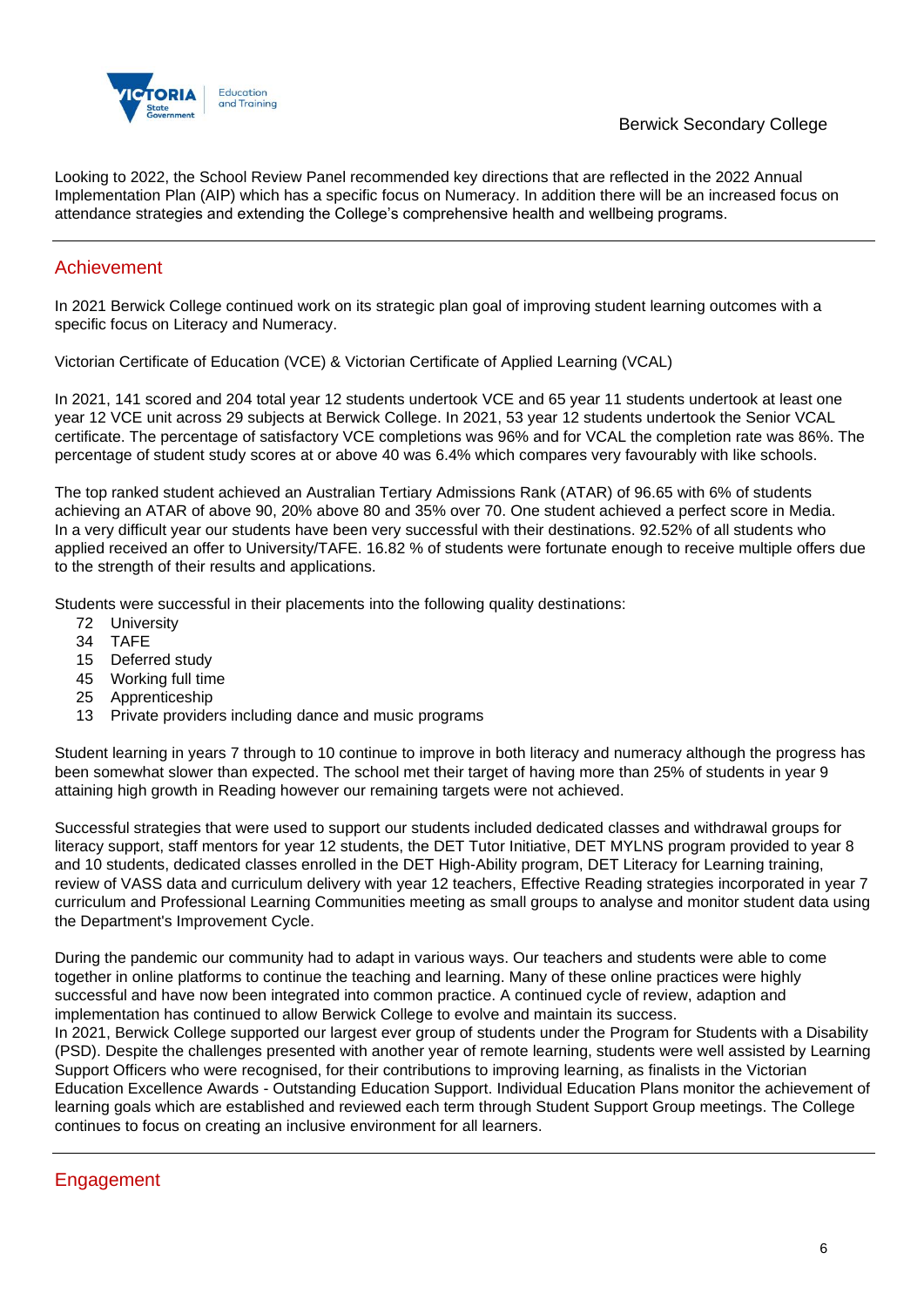

Looking to 2022, the School Review Panel recommended key directions that are reflected in the 2022 Annual Implementation Plan (AIP) which has a specific focus on Numeracy. In addition there will be an increased focus on attendance strategies and extending the College's comprehensive health and wellbeing programs.

### Achievement

In 2021 Berwick College continued work on its strategic plan goal of improving student learning outcomes with a specific focus on Literacy and Numeracy.

Victorian Certificate of Education (VCE) & Victorian Certificate of Applied Learning (VCAL)

In 2021, 141 scored and 204 total year 12 students undertook VCE and 65 year 11 students undertook at least one year 12 VCE unit across 29 subjects at Berwick College. In 2021, 53 year 12 students undertook the Senior VCAL certificate. The percentage of satisfactory VCE completions was 96% and for VCAL the completion rate was 86%. The percentage of student study scores at or above 40 was 6.4% which compares very favourably with like schools.

The top ranked student achieved an Australian Tertiary Admissions Rank (ATAR) of 96.65 with 6% of students achieving an ATAR of above 90, 20% above 80 and 35% over 70. One student achieved a perfect score in Media. In a very difficult year our students have been very successful with their destinations. 92.52% of all students who applied received an offer to University/TAFE. 16.82 % of students were fortunate enough to receive multiple offers due to the strength of their results and applications.

Students were successful in their placements into the following quality destinations:

- 72 University
- 34 TAFE
- 15 Deferred study
- 45 Working full time
- 25 Apprenticeship
- 13 Private providers including dance and music programs

Student learning in years 7 through to 10 continue to improve in both literacy and numeracy although the progress has been somewhat slower than expected. The school met their target of having more than 25% of students in year 9 attaining high growth in Reading however our remaining targets were not achieved.

Successful strategies that were used to support our students included dedicated classes and withdrawal groups for literacy support, staff mentors for year 12 students, the DET Tutor Initiative, DET MYLNS program provided to year 8 and 10 students, dedicated classes enrolled in the DET High-Ability program, DET Literacy for Learning training, review of VASS data and curriculum delivery with year 12 teachers, Effective Reading strategies incorporated in year 7 curriculum and Professional Learning Communities meeting as small groups to analyse and monitor student data using the Department's Improvement Cycle.

During the pandemic our community had to adapt in various ways. Our teachers and students were able to come together in online platforms to continue the teaching and learning. Many of these online practices were highly successful and have now been integrated into common practice. A continued cycle of review, adaption and implementation has continued to allow Berwick College to evolve and maintain its success.

In 2021, Berwick College supported our largest ever group of students under the Program for Students with a Disability (PSD). Despite the challenges presented with another year of remote learning, students were well assisted by Learning Support Officers who were recognised, for their contributions to improving learning, as finalists in the Victorian Education Excellence Awards - Outstanding Education Support. Individual Education Plans monitor the achievement of learning goals which are established and reviewed each term through Student Support Group meetings. The College continues to focus on creating an inclusive environment for all learners.

## Engagement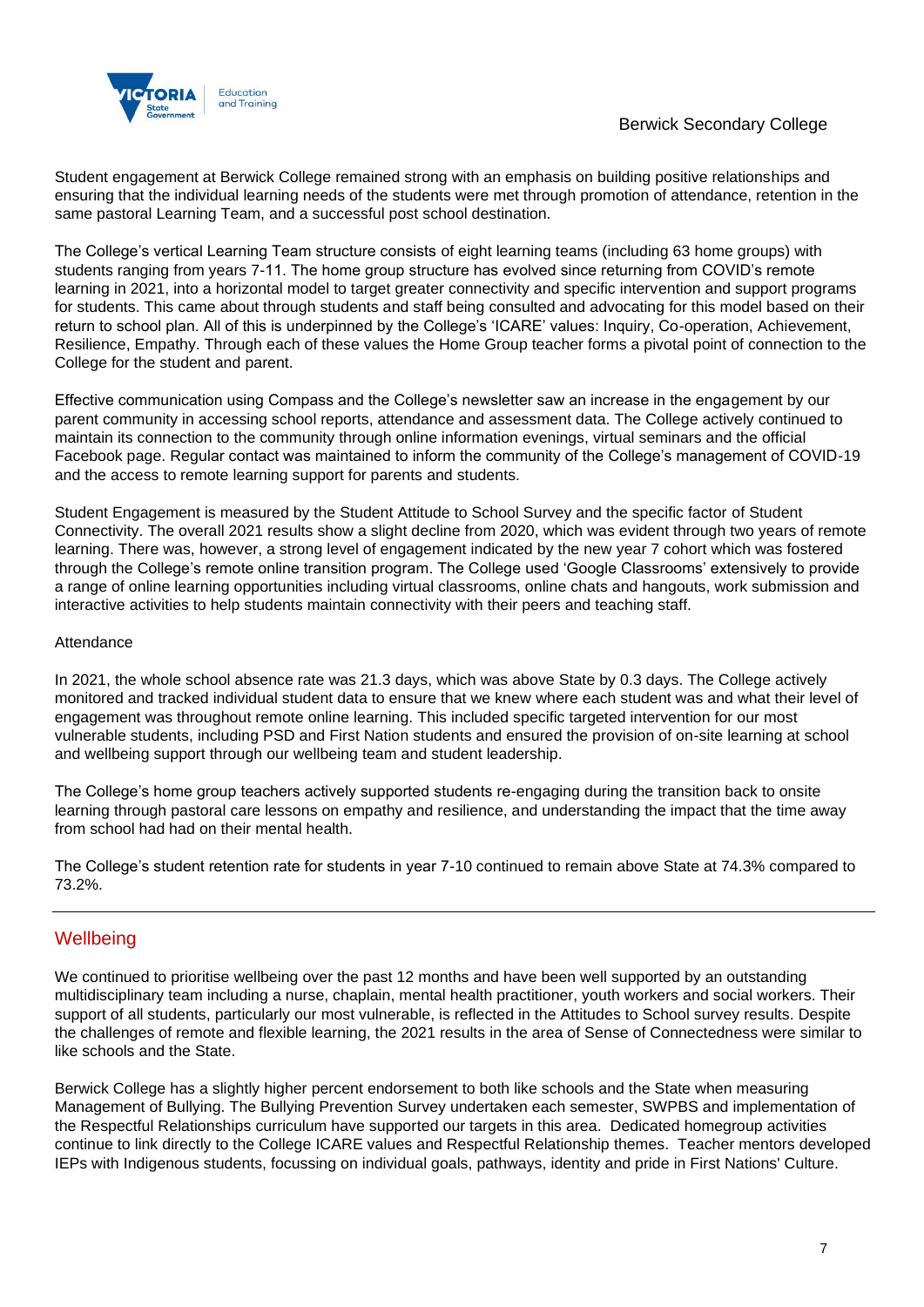

Student engagement at Berwick College remained strong with an emphasis on building positive relationships and ensuring that the individual learning needs of the students were met through promotion of attendance, retention in the same pastoral Learning Team, and a successful post school destination.

The College's vertical Learning Team structure consists of eight learning teams (including 63 home groups) with students ranging from years 7-11. The home group structure has evolved since returning from COVID's remote learning in 2021, into a horizontal model to target greater connectivity and specific intervention and support programs for students. This came about through students and staff being consulted and advocating for this model based on their return to school plan. All of this is underpinned by the College's 'ICARE' values: Inquiry, Co-operation, Achievement, Resilience, Empathy. Through each of these values the Home Group teacher forms a pivotal point of connection to the College for the student and parent.

Effective communication using Compass and the College's newsletter saw an increase in the engagement by our parent community in accessing school reports, attendance and assessment data. The College actively continued to maintain its connection to the community through online information evenings, virtual seminars and the official Facebook page. Regular contact was maintained to inform the community of the College's management of COVID-19 and the access to remote learning support for parents and students.

Student Engagement is measured by the Student Attitude to School Survey and the specific factor of Student Connectivity. The overall 2021 results show a slight decline from 2020, which was evident through two years of remote learning. There was, however, a strong level of engagement indicated by the new year 7 cohort which was fostered through the College's remote online transition program. The College used 'Google Classrooms' extensively to provide a range of online learning opportunities including virtual classrooms, online chats and hangouts, work submission and interactive activities to help students maintain connectivity with their peers and teaching staff.

#### **Attendance**

In 2021, the whole school absence rate was 21.3 days, which was above State by 0.3 days. The College actively monitored and tracked individual student data to ensure that we knew where each student was and what their level of engagement was throughout remote online learning. This included specific targeted intervention for our most vulnerable students, including PSD and First Nation students and ensured the provision of on-site learning at school and wellbeing support through our wellbeing team and student leadership.

The College's home group teachers actively supported students re-engaging during the transition back to onsite learning through pastoral care lessons on empathy and resilience, and understanding the impact that the time away from school had had on their mental health.

The College's student retention rate for students in year 7-10 continued to remain above State at 74.3% compared to 73.2%.

#### **Wellbeing**

We continued to prioritise wellbeing over the past 12 months and have been well supported by an outstanding multidisciplinary team including a nurse, chaplain, mental health practitioner, youth workers and social workers. Their support of all students, particularly our most vulnerable, is reflected in the Attitudes to School survey results. Despite the challenges of remote and flexible learning, the 2021 results in the area of Sense of Connectedness were similar to like schools and the State.

Berwick College has a slightly higher percent endorsement to both like schools and the State when measuring Management of Bullying. The Bullying Prevention Survey undertaken each semester, SWPBS and implementation of the Respectful Relationships curriculum have supported our targets in this area. Dedicated homegroup activities continue to link directly to the College ICARE values and Respectful Relationship themes. Teacher mentors developed IEPs with Indigenous students, focussing on individual goals, pathways, identity and pride in First Nations' Culture.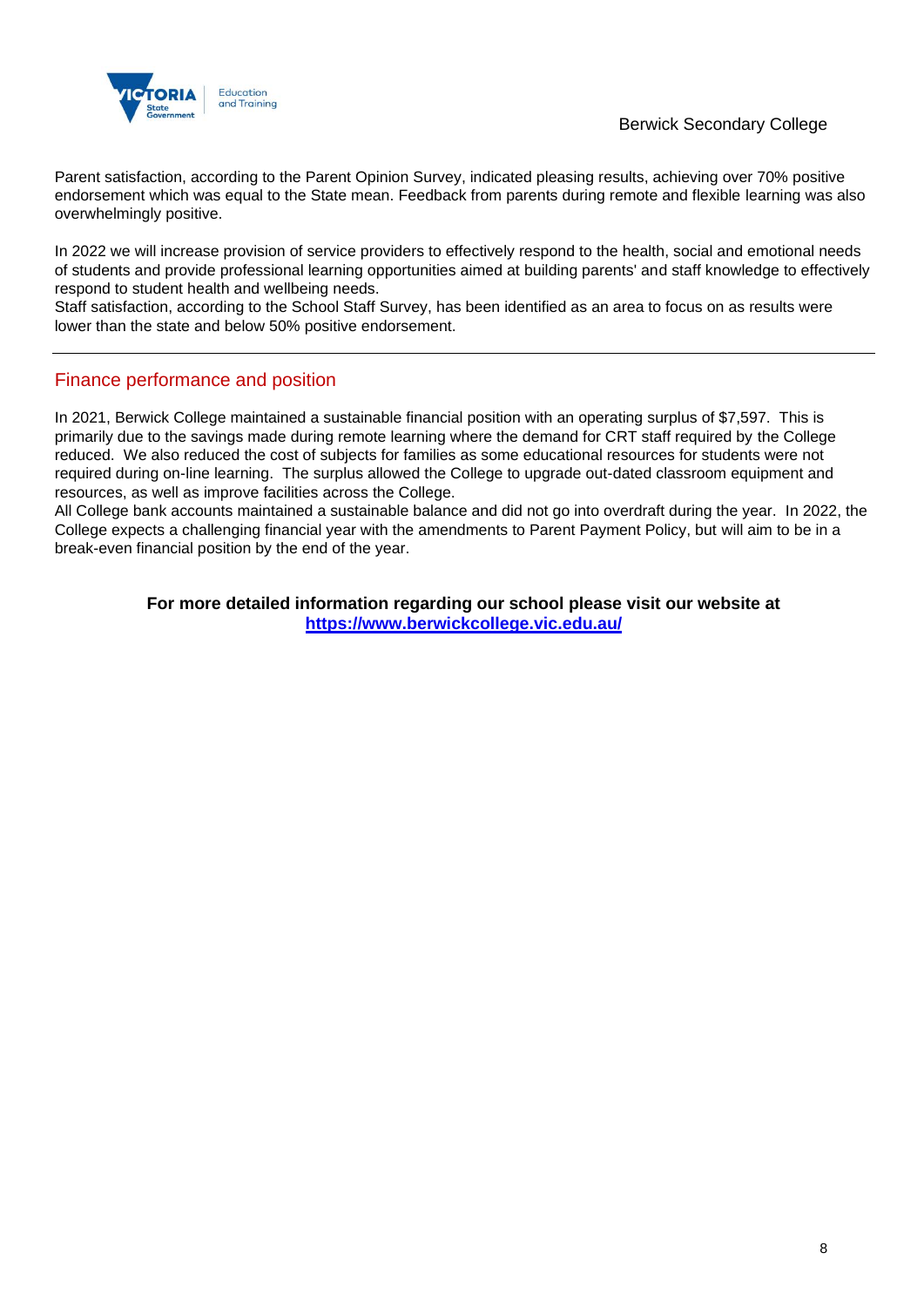

Parent satisfaction, according to the Parent Opinion Survey, indicated pleasing results, achieving over 70% positive endorsement which was equal to the State mean. Feedback from parents during remote and flexible learning was also overwhelmingly positive.

In 2022 we will increase provision of service providers to effectively respond to the health, social and emotional needs of students and provide professional learning opportunities aimed at building parents' and staff knowledge to effectively respond to student health and wellbeing needs.

Staff satisfaction, according to the School Staff Survey, has been identified as an area to focus on as results were lower than the state and below 50% positive endorsement.

### Finance performance and position

In 2021, Berwick College maintained a sustainable financial position with an operating surplus of \$7,597. This is primarily due to the savings made during remote learning where the demand for CRT staff required by the College reduced. We also reduced the cost of subjects for families as some educational resources for students were not required during on-line learning. The surplus allowed the College to upgrade out-dated classroom equipment and resources, as well as improve facilities across the College.

All College bank accounts maintained a sustainable balance and did not go into overdraft during the year. In 2022, the College expects a challenging financial year with the amendments to Parent Payment Policy, but will aim to be in a break-even financial position by the end of the year.

> **For more detailed information regarding our school please visit our website at <https://www.berwickcollege.vic.edu.au/>**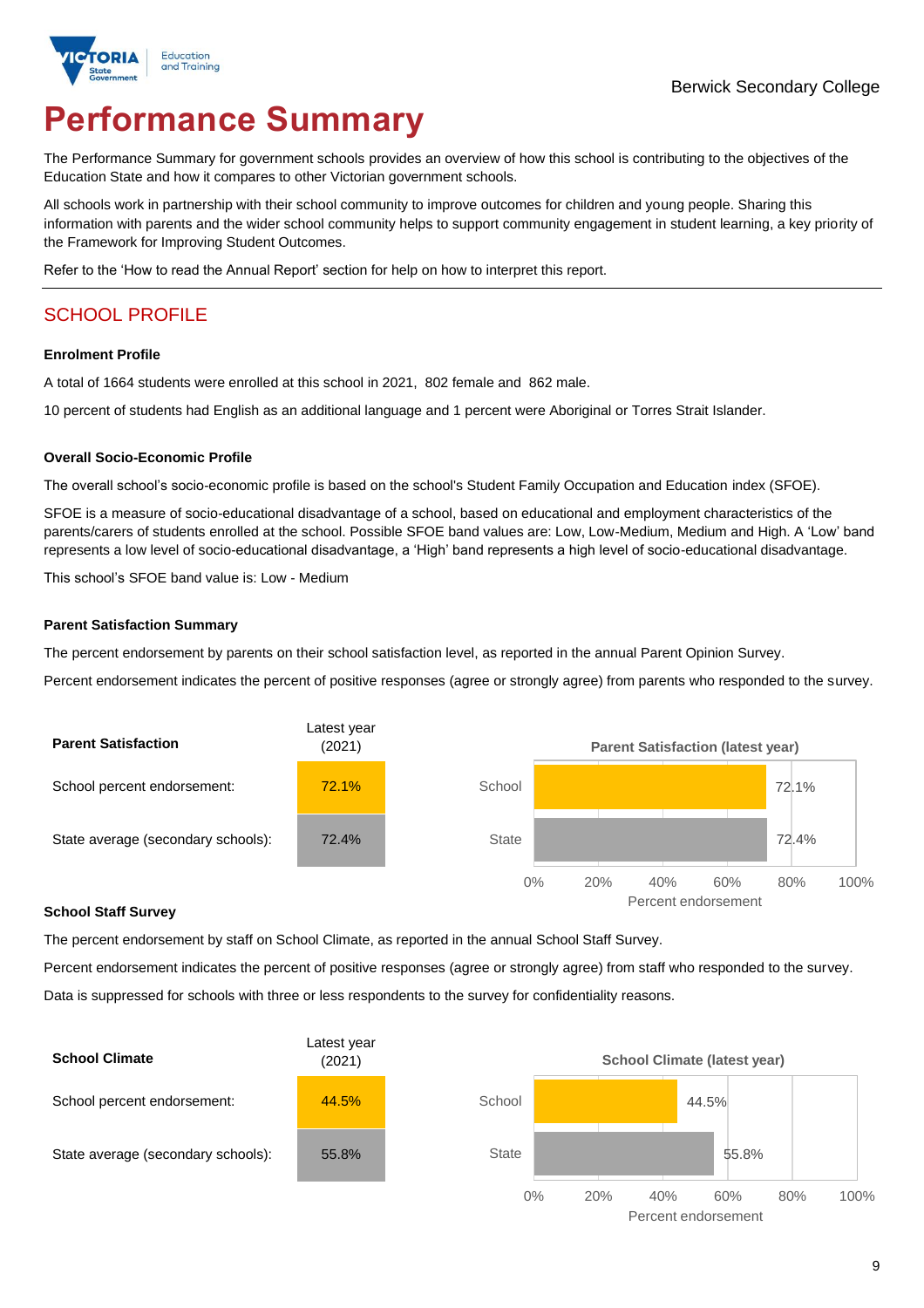

# **Performance Summary**

The Performance Summary for government schools provides an overview of how this school is contributing to the objectives of the Education State and how it compares to other Victorian government schools.

All schools work in partnership with their school community to improve outcomes for children and young people. Sharing this information with parents and the wider school community helps to support community engagement in student learning, a key priority of the Framework for Improving Student Outcomes.

Refer to the 'How to read the Annual Report' section for help on how to interpret this report.

## SCHOOL PROFILE

#### **Enrolment Profile**

A total of 1664 students were enrolled at this school in 2021, 802 female and 862 male.

10 percent of students had English as an additional language and 1 percent were Aboriginal or Torres Strait Islander.

#### **Overall Socio-Economic Profile**

The overall school's socio-economic profile is based on the school's Student Family Occupation and Education index (SFOE).

SFOE is a measure of socio-educational disadvantage of a school, based on educational and employment characteristics of the parents/carers of students enrolled at the school. Possible SFOE band values are: Low, Low-Medium, Medium and High. A 'Low' band represents a low level of socio-educational disadvantage, a 'High' band represents a high level of socio-educational disadvantage.

This school's SFOE band value is: Low - Medium

#### **Parent Satisfaction Summary**

The percent endorsement by parents on their school satisfaction level, as reported in the annual Parent Opinion Survey.

Percent endorsement indicates the percent of positive responses (agree or strongly agree) from parents who responded to the survey.



#### **School Staff Survey**

The percent endorsement by staff on School Climate, as reported in the annual School Staff Survey.

Percent endorsement indicates the percent of positive responses (agree or strongly agree) from staff who responded to the survey. Data is suppressed for schools with three or less respondents to the survey for confidentiality reasons.

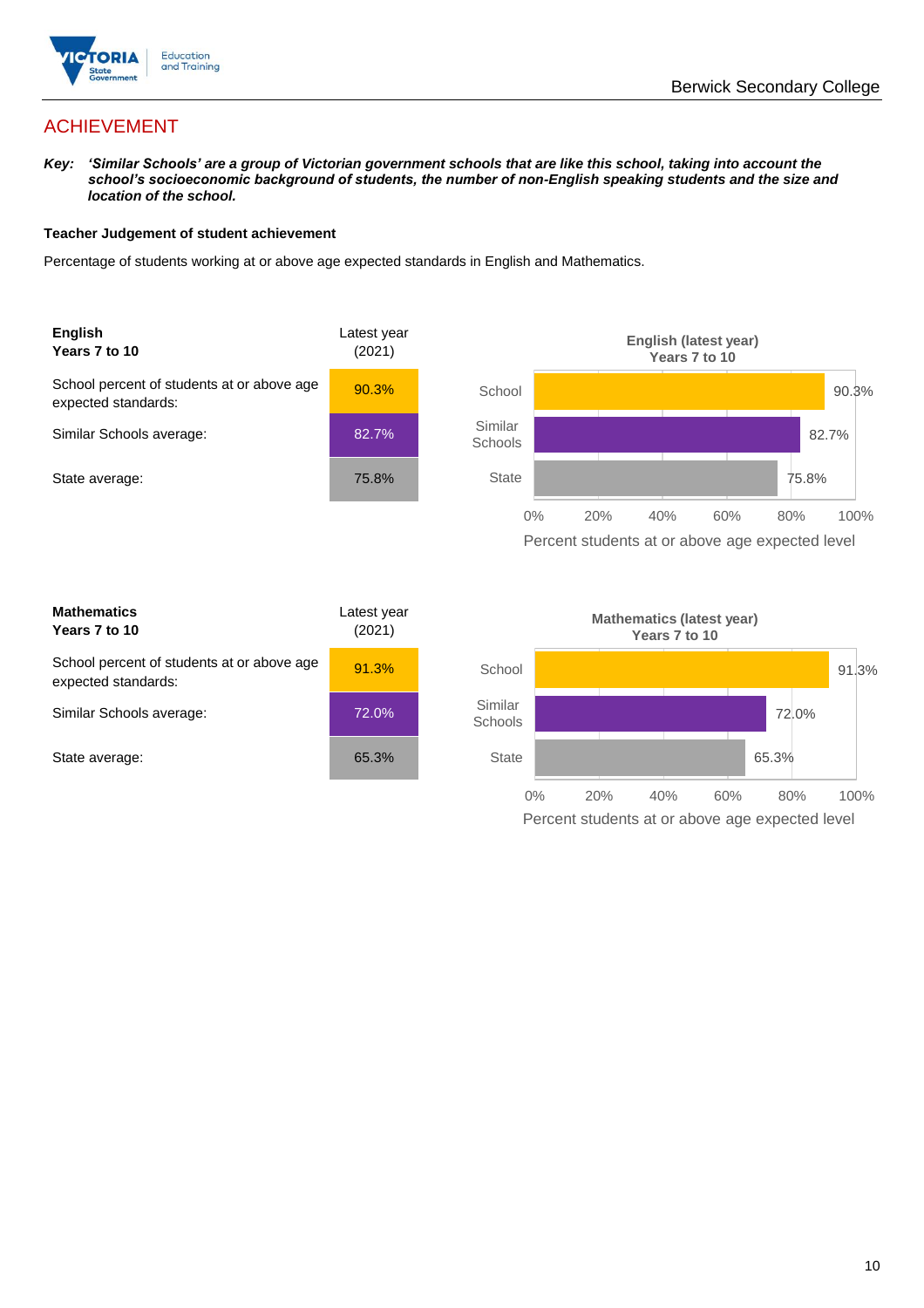

## ACHIEVEMENT

*Key: 'Similar Schools' are a group of Victorian government schools that are like this school, taking into account the school's socioeconomic background of students, the number of non-English speaking students and the size and location of the school.*

#### **Teacher Judgement of student achievement**

Percentage of students working at or above age expected standards in English and Mathematics.



| <b>Mathematics</b><br>Years 7 to 10                               | Latest year<br>(2021) |  |
|-------------------------------------------------------------------|-----------------------|--|
| School percent of students at or above age<br>expected standards: | 91.3%                 |  |
| Similar Schools average:                                          | 72.0%                 |  |
| State average:                                                    | 65.3%                 |  |

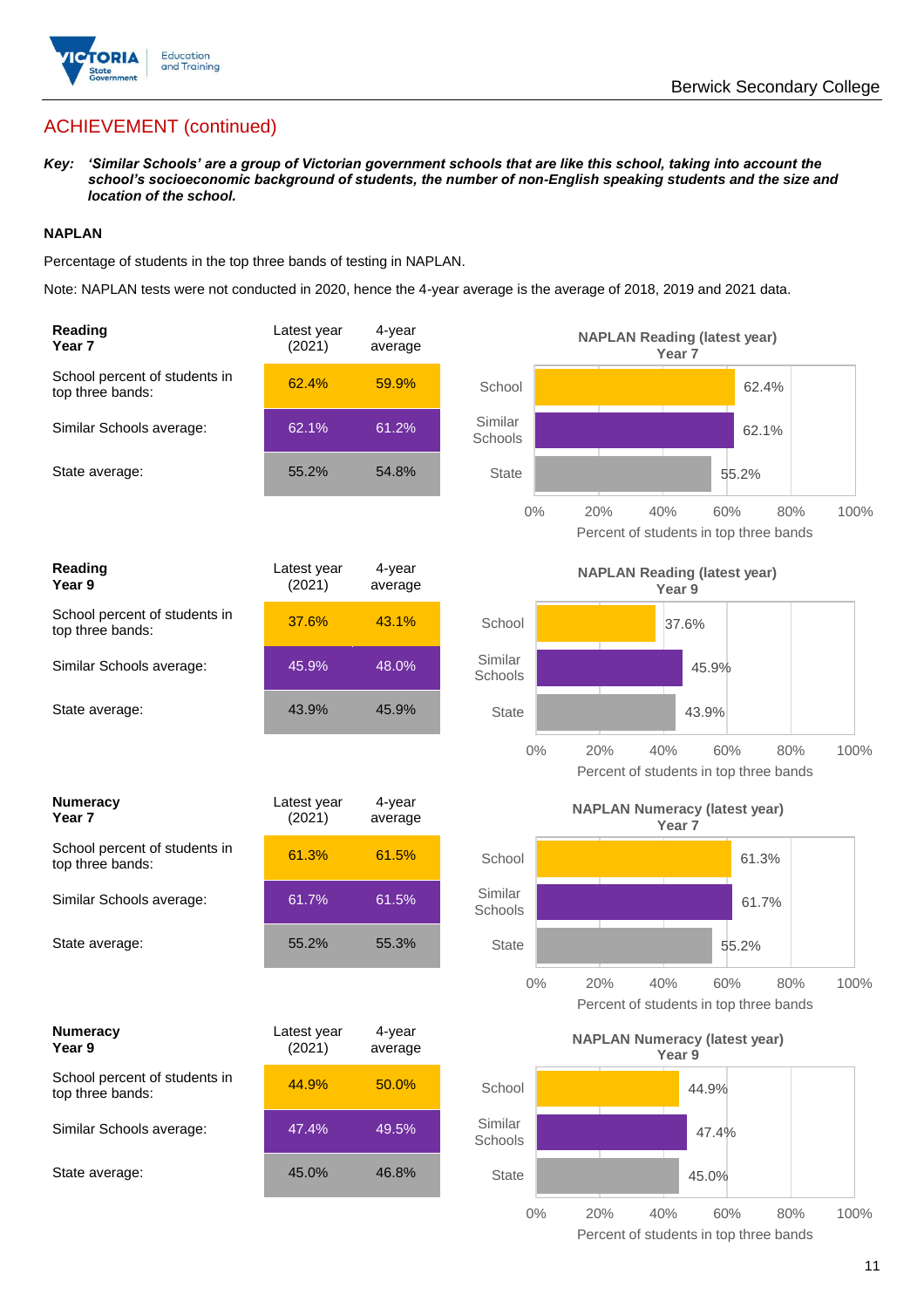

## ACHIEVEMENT (continued)

*Key: 'Similar Schools' are a group of Victorian government schools that are like this school, taking into account the school's socioeconomic background of students, the number of non-English speaking students and the size and location of the school.*

#### **NAPLAN**

Percentage of students in the top three bands of testing in NAPLAN.

Note: NAPLAN tests were not conducted in 2020, hence the 4-year average is the average of 2018, 2019 and 2021 data.

| Reading<br>Year 7                                 | Latest year<br>(2021) | 4-year<br>average |                    | <b>NAPLAN Reading (latest year)</b><br>Year <sub>7</sub>  |            |      |
|---------------------------------------------------|-----------------------|-------------------|--------------------|-----------------------------------------------------------|------------|------|
| School percent of students in<br>top three bands: | 62.4%                 | 59.9%             | School             |                                                           | 62.4%      |      |
| Similar Schools average:                          | 62.1%                 | 61.2%             | Similar<br>Schools |                                                           | 62.1%      |      |
| State average:                                    | 55.2%                 | 54.8%             | <b>State</b>       |                                                           | 55.2%      |      |
|                                                   |                       |                   | $0\%$              | 40%<br>20%<br>Percent of students in top three bands      | 60%<br>80% | 100% |
| <b>Reading</b><br>Year 9                          | Latest year<br>(2021) | 4-year<br>average |                    | <b>NAPLAN Reading (latest year)</b><br>Year 9             |            |      |
| School percent of students in<br>top three bands: | 37.6%                 | 43.1%             | School             | 37.6%                                                     |            |      |
| Similar Schools average:                          | 45.9%                 | 48.0%             | Similar<br>Schools |                                                           | 45.9%      |      |
| State average:                                    | 43.9%                 | 45.9%             | <b>State</b>       |                                                           | 43.9%      |      |
|                                                   |                       |                   | $0\%$              | 20%<br>40%<br>Percent of students in top three bands      | 60%<br>80% | 100% |
| <b>Numeracy</b><br>Year <sub>7</sub>              | Latest year<br>(2021) | 4-year<br>average |                    | <b>NAPLAN Numeracy (latest year)</b><br>Year <sub>7</sub> |            |      |
| School percent of students in<br>top three bands: | 61.3%                 | 61.5%             | School             |                                                           | 61.3%      |      |
| Similar Schools average:                          | 61.7%                 | 61.5%             | Similar<br>Schools |                                                           | 61.7%      |      |
| State average:                                    | 55.2%                 | 55.3%             | <b>State</b>       |                                                           | 55.2%      |      |
|                                                   |                       |                   | $0\%$              | 20%<br>40%<br>Percent of students in top three bands      | 60%<br>80% | 100% |
| <b>Numeracy</b><br>Year 9                         | Latest year<br>(2021) | 4-year<br>average |                    | <b>NAPLAN Numeracy (latest year)</b><br>Year 9            |            |      |
| School percent of students in<br>top three bands: | 44.9%                 | 50.0%             | School             |                                                           | 44.9%      |      |
| Similar Schools average:                          | 47.4%                 | 49.5%             | Similar<br>Schools |                                                           | 47.4%      |      |
| State average:                                    | 45.0%                 | 46.8%             | <b>State</b>       |                                                           | 45.0%      |      |
|                                                   |                       |                   | $0\%$              | 20%<br>40%<br>Percent of students in top three bands      | 80%<br>60% | 100% |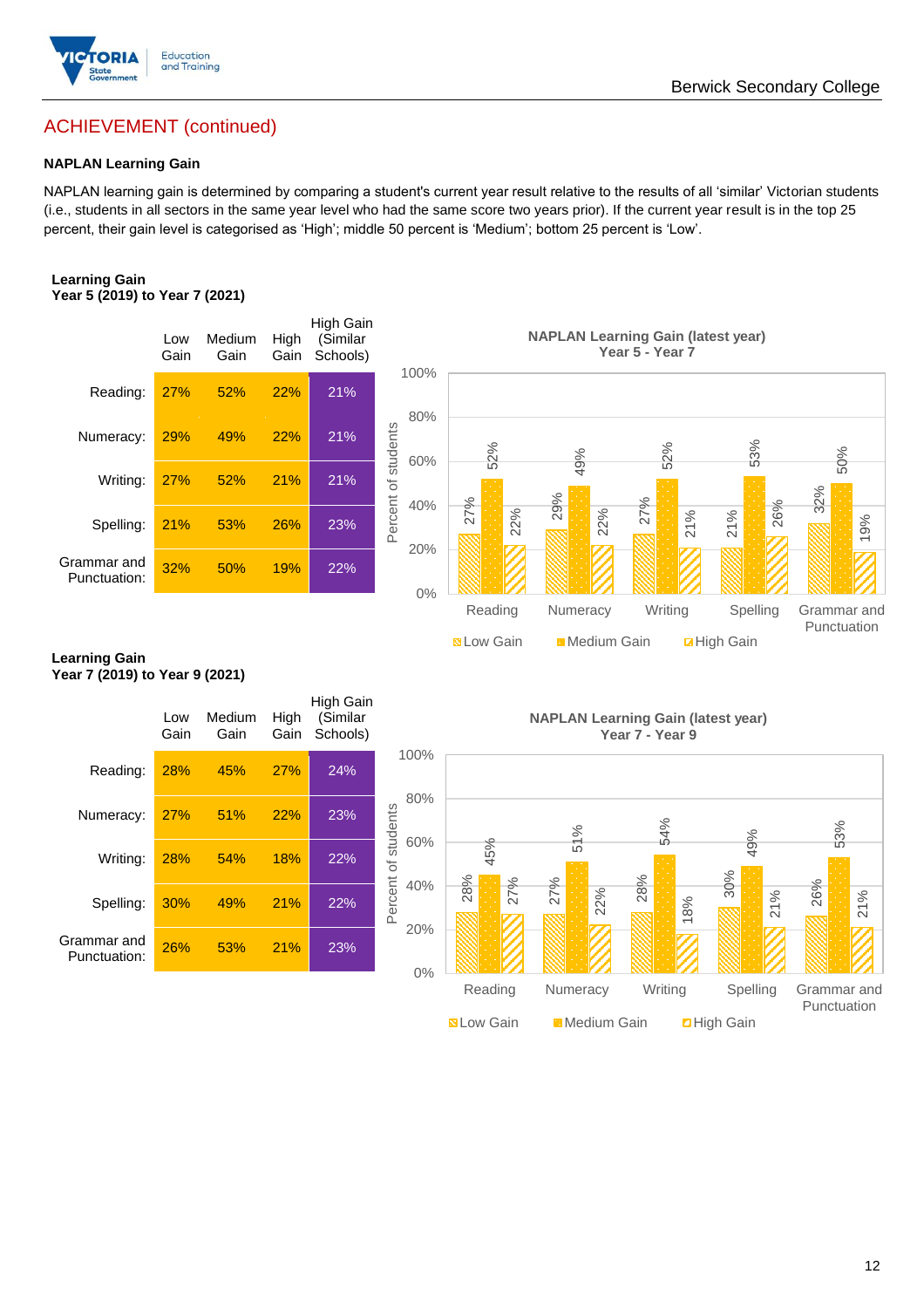

## ACHIEVEMENT (continued)

#### **NAPLAN Learning Gain**

NAPLAN learning gain is determined by comparing a student's current year result relative to the results of all 'similar' Victorian students (i.e., students in all sectors in the same year level who had the same score two years prior). If the current year result is in the top 25 percent, their gain level is categorised as 'High'; middle 50 percent is 'Medium'; bottom 25 percent is 'Low'.

#### **Learning Gain Year 5 (2019) to Year 7 (2021)**



#### **Learning Gain Year 7 (2019) to Year 9 (2021)**

|                             | Low<br>Gain | Medium<br>Gain | High<br>Gain | High Gain<br>(Similar<br>Schools) |                            |
|-----------------------------|-------------|----------------|--------------|-----------------------------------|----------------------------|
| Reading:                    | 28%         | 45%            | 27%          | 24%                               | 100%                       |
| Numeracy:                   | 27%         | 51%            | 22%          | 23%                               | 80%                        |
| Writing:                    | 28%         | 54%            | 18%          | 22%                               | Percent of students<br>60% |
| Spelling:                   | 30%         | 49%            | 21%          | 22%                               | 40%                        |
| Grammar and<br>Punctuation: | 26%         | 53%            | 21%          | 23%                               | 20%                        |
|                             |             |                |              |                                   | 0%                         |

**NAPLAN Learning Gain (latest year) Year 7 - Year 9**

**N** Low Gain **Medium Gain E** High Gain

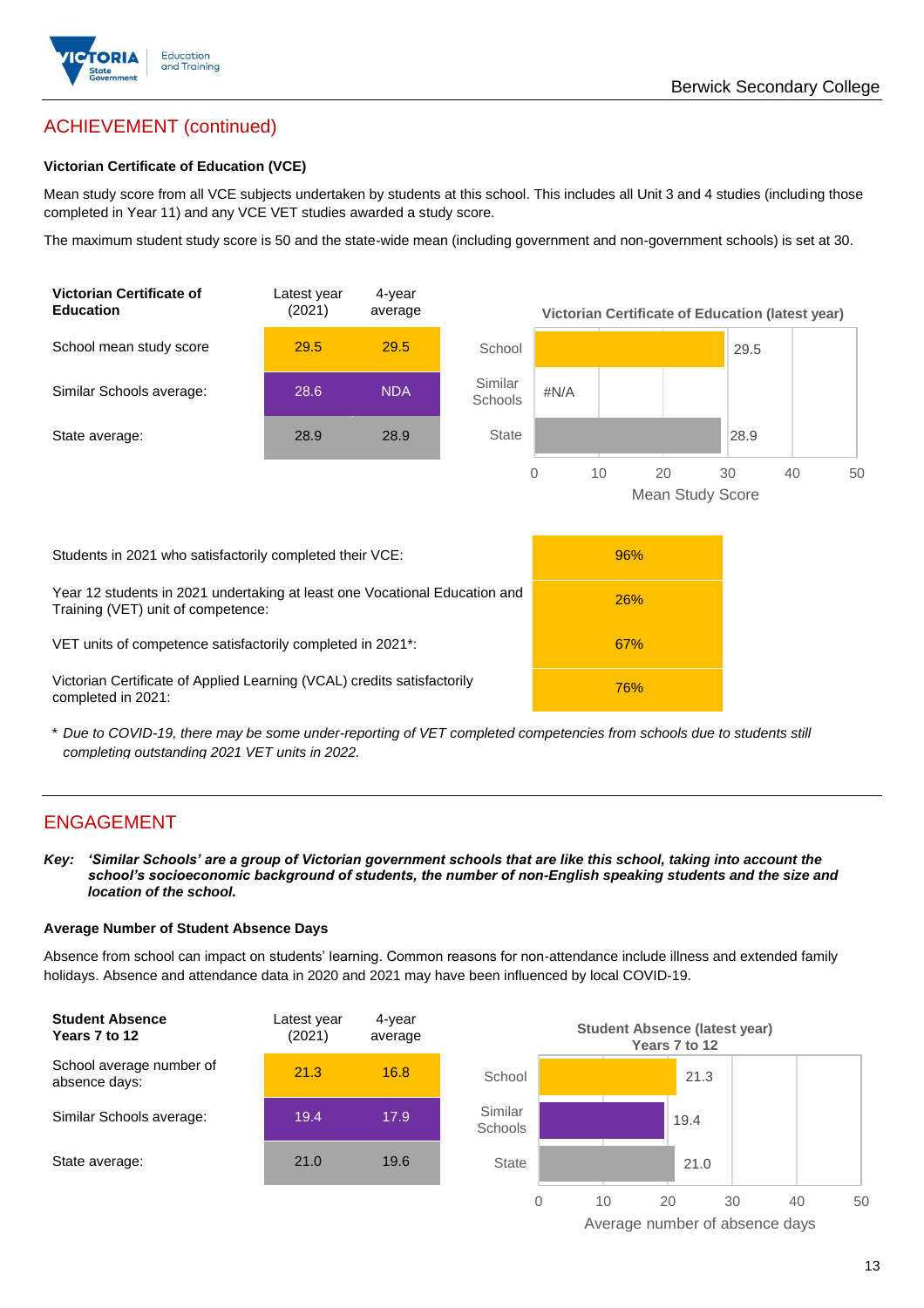

## ACHIEVEMENT (continued)

#### **Victorian Certificate of Education (VCE)**

Mean study score from all VCE subjects undertaken by students at this school. This includes all Unit 3 and 4 studies (including those completed in Year 11) and any VCE VET studies awarded a study score.

The maximum student study score is 50 and the state-wide mean (including government and non-government schools) is set at 30.



\* *Due to COVID-19, there may be some under-reporting of VET completed competencies from schools due to students still completing outstanding 2021 VET units in 2022.*

## ENGAGEMENT

*Key: 'Similar Schools' are a group of Victorian government schools that are like this school, taking into account the school's socioeconomic background of students, the number of non-English speaking students and the size and location of the school.*

#### **Average Number of Student Absence Days**

Absence from school can impact on students' learning. Common reasons for non-attendance include illness and extended family holidays. Absence and attendance data in 2020 and 2021 may have been influenced by local COVID-19.



Average number of absence days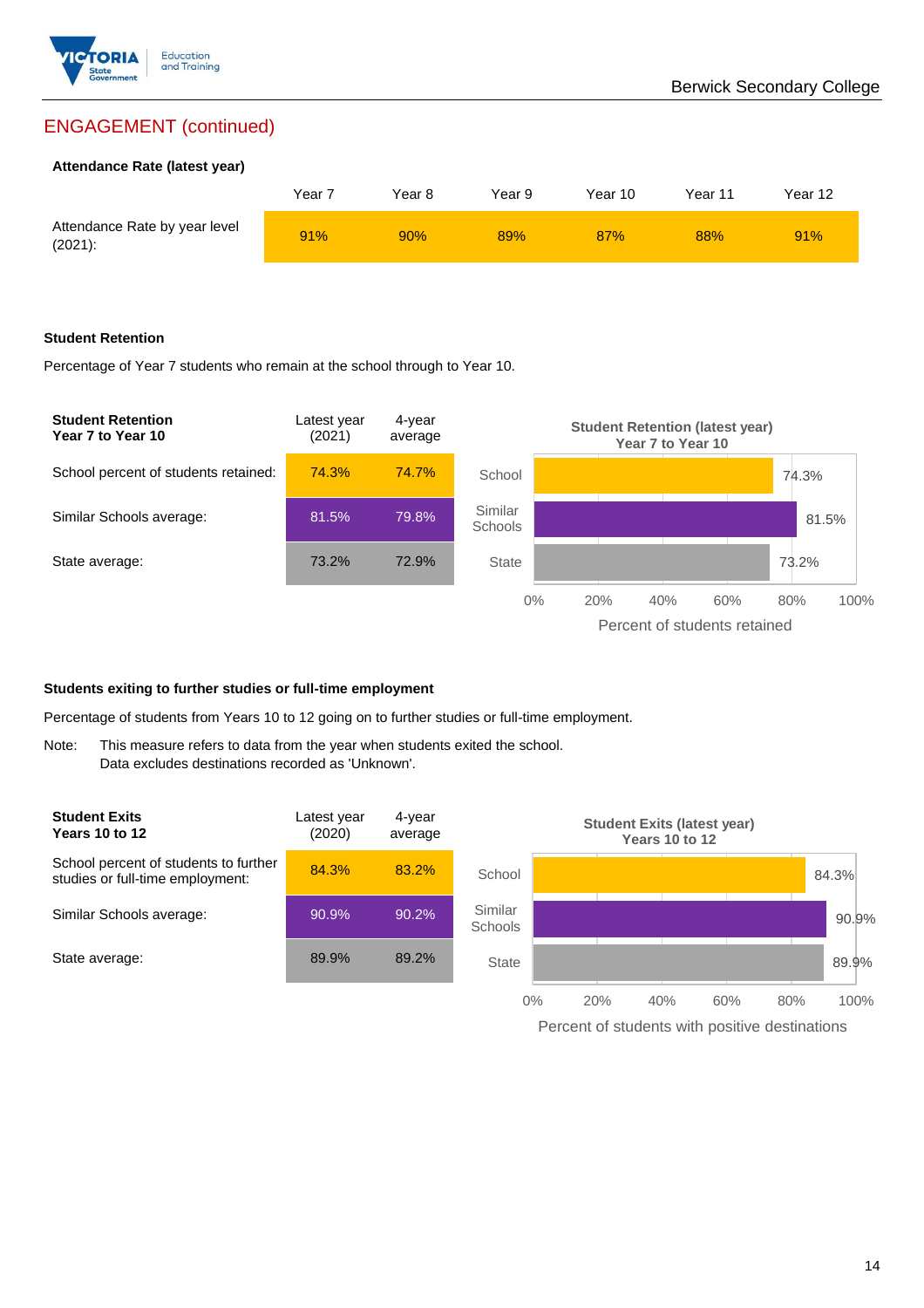

## ENGAGEMENT (continued)

#### **Attendance Rate (latest year)**

|                                             | Year 7 | Year 8 | Year 9 | Year 10 | Year 11 | Year 12 |
|---------------------------------------------|--------|--------|--------|---------|---------|---------|
| Attendance Rate by year level<br>$(2021)$ : | 91%    | 90%    | 89%    | 87%     | 88%     | 91%     |

#### **Student Retention**

Percentage of Year 7 students who remain at the school through to Year 10.



#### **Students exiting to further studies or full-time employment**

Percentage of students from Years 10 to 12 going on to further studies or full-time employment.

Note: This measure refers to data from the year when students exited the school. Data excludes destinations recorded as 'Unknown'.



Percent of students with positive destinations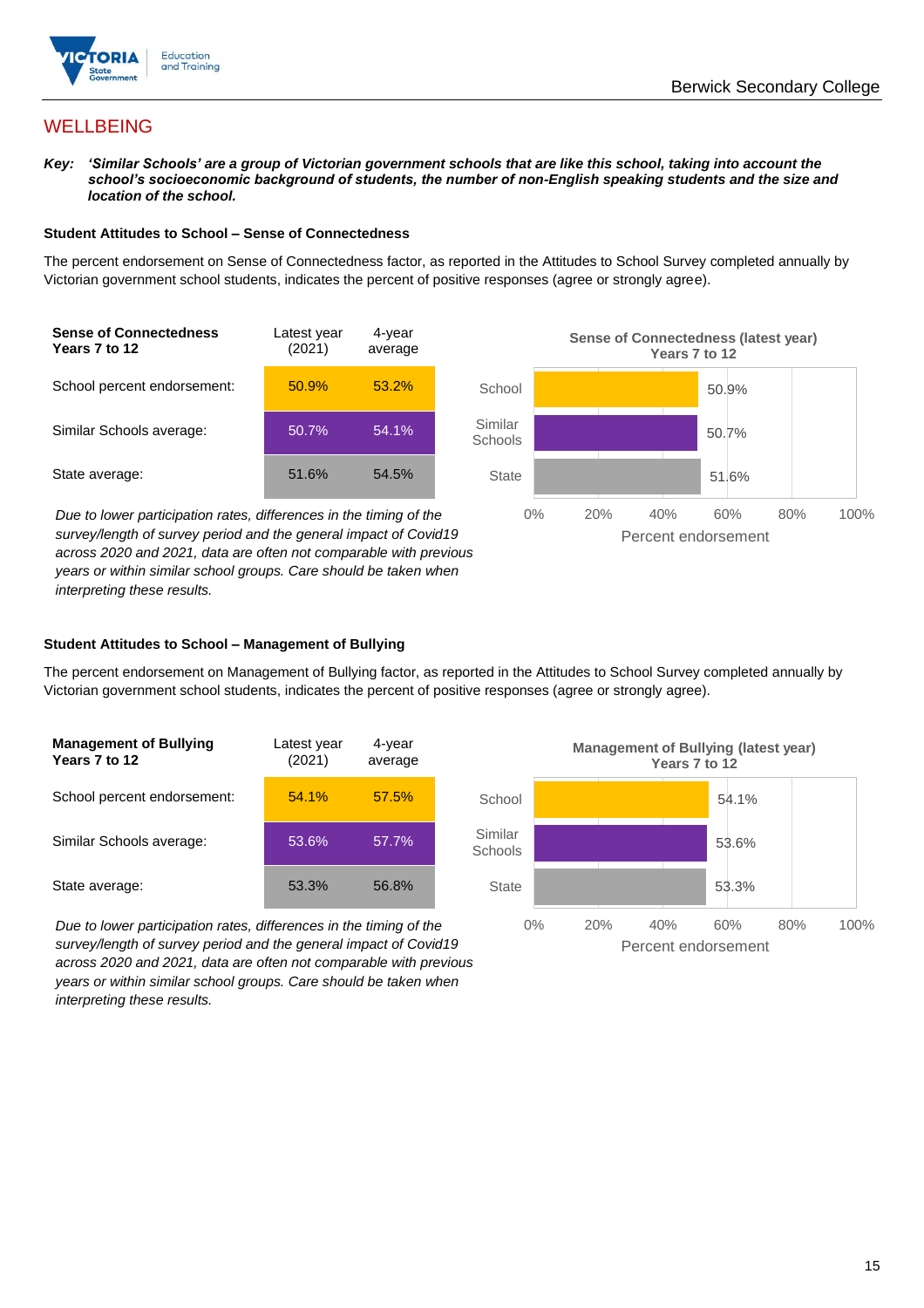



## **WELLBEING**

*Key: 'Similar Schools' are a group of Victorian government schools that are like this school, taking into account the school's socioeconomic background of students, the number of non-English speaking students and the size and location of the school.*

#### **Student Attitudes to School – Sense of Connectedness**

The percent endorsement on Sense of Connectedness factor, as reported in the Attitudes to School Survey completed annually by Victorian government school students, indicates the percent of positive responses (agree or strongly agree).



*Due to lower participation rates, differences in the timing of the survey/length of survey period and the general impact of Covid19 across 2020 and 2021, data are often not comparable with previous years or within similar school groups. Care should be taken when interpreting these results.*



#### **Student Attitudes to School – Management of Bullying**

The percent endorsement on Management of Bullying factor, as reported in the Attitudes to School Survey completed annually by Victorian government school students, indicates the percent of positive responses (agree or strongly agree).

| <b>Management of Bullying</b><br>Years 7 to 12 | Latest year<br>(2021) | 4-year<br>average |  |
|------------------------------------------------|-----------------------|-------------------|--|
| School percent endorsement:                    | 54.1%                 | 57.5%             |  |
| Similar Schools average:                       | 53.6%                 | 57.7%             |  |
| State average:                                 | 53.3%                 | 56.8%             |  |

*Due to lower participation rates, differences in the timing of the survey/length of survey period and the general impact of Covid19 across 2020 and 2021, data are often not comparable with previous years or within similar school groups. Care should be taken when interpreting these results.*

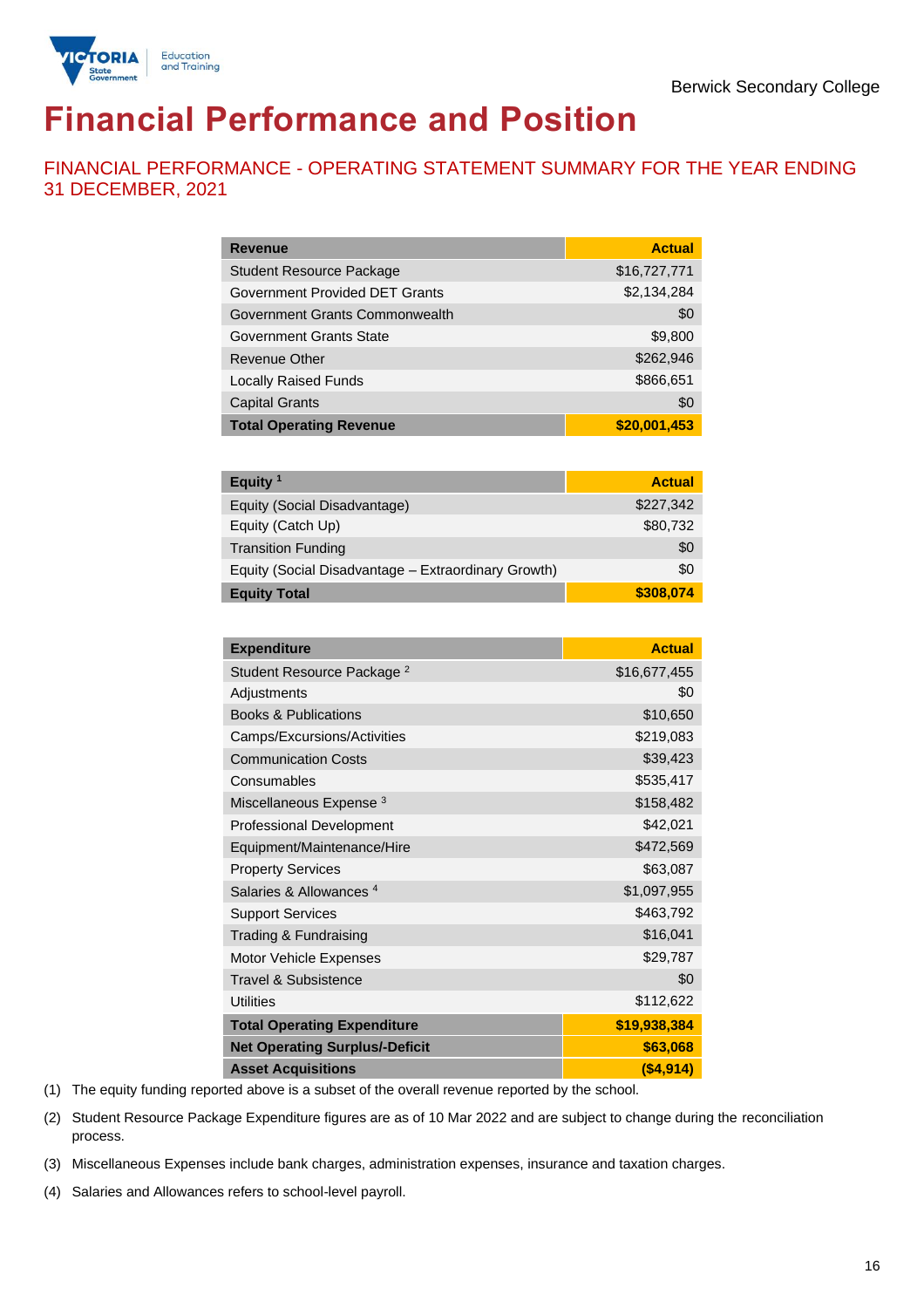

# **Financial Performance and Position**

FINANCIAL PERFORMANCE - OPERATING STATEMENT SUMMARY FOR THE YEAR ENDING 31 DECEMBER, 2021

| <b>Revenue</b>                  | <b>Actual</b> |
|---------------------------------|---------------|
| <b>Student Resource Package</b> | \$16,727,771  |
| Government Provided DET Grants  | \$2,134,284   |
| Government Grants Commonwealth  | \$0           |
| Government Grants State         | \$9,800       |
| Revenue Other                   | \$262,946     |
| <b>Locally Raised Funds</b>     | \$866,651     |
| <b>Capital Grants</b>           | \$0           |
| <b>Total Operating Revenue</b>  | \$20,001,453  |

| Equity $1$                                          | <b>Actual</b> |
|-----------------------------------------------------|---------------|
| Equity (Social Disadvantage)                        | \$227,342     |
| Equity (Catch Up)                                   | \$80,732      |
| <b>Transition Funding</b>                           | \$0           |
| Equity (Social Disadvantage - Extraordinary Growth) | \$0           |
| <b>Equity Total</b>                                 | \$308,074     |

| <b>Expenditure</b>                    | <b>Actual</b> |
|---------------------------------------|---------------|
| Student Resource Package <sup>2</sup> | \$16,677,455  |
| Adjustments                           | \$0           |
| <b>Books &amp; Publications</b>       | \$10,650      |
| Camps/Excursions/Activities           | \$219,083     |
| <b>Communication Costs</b>            | \$39,423      |
| Consumables                           | \$535,417     |
| Miscellaneous Expense <sup>3</sup>    | \$158,482     |
| <b>Professional Development</b>       | \$42,021      |
| Equipment/Maintenance/Hire            | \$472,569     |
| <b>Property Services</b>              | \$63,087      |
| Salaries & Allowances <sup>4</sup>    | \$1,097,955   |
| <b>Support Services</b>               | \$463,792     |
| Trading & Fundraising                 | \$16,041      |
| Motor Vehicle Expenses                | \$29,787      |
| Travel & Subsistence                  | \$0           |
| <b>Utilities</b>                      | \$112,622     |
| <b>Total Operating Expenditure</b>    | \$19,938,384  |
| <b>Net Operating Surplus/-Deficit</b> | \$63,068      |
| <b>Asset Acquisitions</b>             | ( \$4, 914)   |

(1) The equity funding reported above is a subset of the overall revenue reported by the school.

(2) Student Resource Package Expenditure figures are as of 10 Mar 2022 and are subject to change during the reconciliation process.

(3) Miscellaneous Expenses include bank charges, administration expenses, insurance and taxation charges.

(4) Salaries and Allowances refers to school-level payroll.